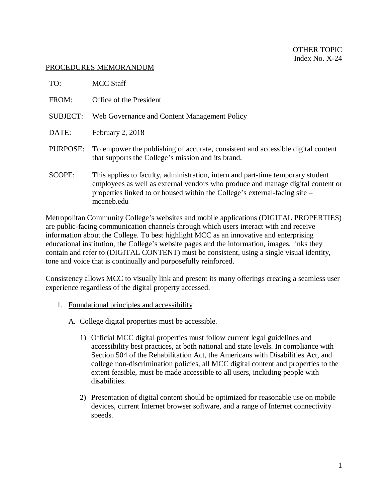## PROCEDURES MEMORANDUM

| TO:             | MCC Staff                                                                                                                                                                                                                                                      |
|-----------------|----------------------------------------------------------------------------------------------------------------------------------------------------------------------------------------------------------------------------------------------------------------|
| FROM:           | Office of the President                                                                                                                                                                                                                                        |
| <b>SUBJECT:</b> | Web Governance and Content Management Policy                                                                                                                                                                                                                   |
| DATE:           | February 2, 2018                                                                                                                                                                                                                                               |
| PURPOSE:        | To empower the publishing of accurate, consistent and accessible digital content<br>that supports the College's mission and its brand.                                                                                                                         |
| SCOPE:          | This applies to faculty, administration, intern and part-time temporary student<br>employees as well as external vendors who produce and manage digital content or<br>properties linked to or housed within the College's external-facing site –<br>mccneb.edu |

Metropolitan Community College's websites and mobile applications (DIGITAL PROPERTIES) are public-facing communication channels through which users interact with and receive information about the College. To best highlight MCC as an innovative and enterprising educational institution, the College's website pages and the information, images, links they contain and refer to (DIGITAL CONTENT) must be consistent, using a single visual identity, tone and voice that is continually and purposefully reinforced.

Consistency allows MCC to visually link and present its many offerings creating a seamless user experience regardless of the digital property accessed.

- 1. Foundational principles and accessibility
	- A. College digital properties must be accessible.
		- 1) Official MCC digital properties must follow current legal guidelines and accessibility best practices, at both national and state levels. In compliance with Section 504 of the Rehabilitation Act, the Americans with Disabilities Act, and college non-discrimination policies, all MCC digital content and properties to the extent feasible, must be made accessible to all users, including people with disabilities.
		- 2) Presentation of digital content should be optimized for reasonable use on mobile devices, current Internet browser software, and a range of Internet connectivity speeds.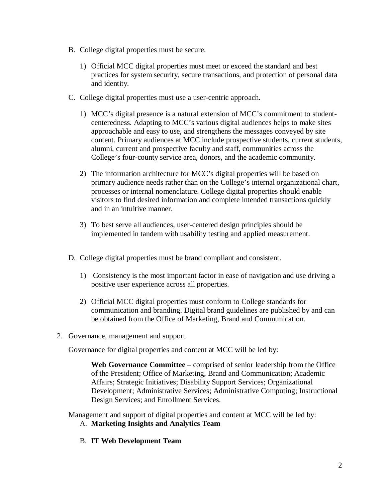- B. College digital properties must be secure.
	- 1) Official MCC digital properties must meet or exceed the standard and best practices for system security, secure transactions, and protection of personal data and identity.
- C. College digital properties must use a user-centric approach.
	- 1) MCC's digital presence is a natural extension of MCC's commitment to studentcenteredness. Adapting to MCC's various digital audiences helps to make sites approachable and easy to use, and strengthens the messages conveyed by site content. Primary audiences at MCC include prospective students, current students, alumni, current and prospective faculty and staff, communities across the College's four-county service area, donors, and the academic community.
	- 2) The information architecture for MCC's digital properties will be based on primary audience needs rather than on the College's internal organizational chart, processes or internal nomenclature. College digital properties should enable visitors to find desired information and complete intended transactions quickly and in an intuitive manner.
	- 3) To best serve all audiences, user-centered design principles should be implemented in tandem with usability testing and applied measurement.
- D. College digital properties must be brand compliant and consistent.
	- 1) Consistency is the most important factor in ease of navigation and use driving a positive user experience across all properties.
	- 2) Official MCC digital properties must conform to College standards for communication and branding. Digital brand guidelines are published by and can be obtained from the Office of Marketing, Brand and Communication.
- 2. Governance, management and support

Governance for digital properties and content at MCC will be led by:

**Web Governance Committee** – comprised of senior leadership from the Office of the President; Office of Marketing, Brand and Communication; Academic Affairs; Strategic Initiatives; Disability Support Services; Organizational Development; Administrative Services; Administrative Computing; Instructional Design Services; and Enrollment Services.

Management and support of digital properties and content at MCC will be led by:

- A. **Marketing Insights and Analytics Team**
- B. **IT Web Development Team**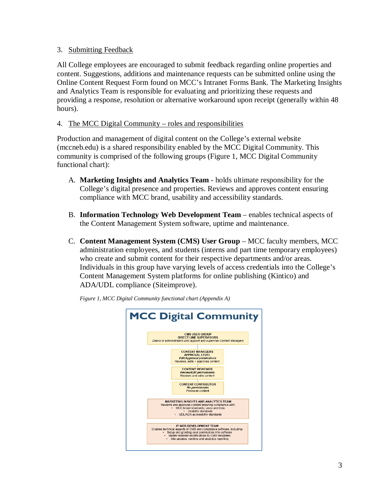## 3. Submitting Feedback

All College employees are encouraged to submit feedback regarding online properties and content. Suggestions, additions and maintenance requests can be submitted online using the Online Content Request Form found on MCC's Intranet Forms Bank. The Marketing Insights and Analytics Team is responsible for evaluating and prioritizing these requests and providing a response, resolution or alternative workaround upon receipt (generally within 48 hours).

## 4. The MCC Digital Community – roles and responsibilities

Production and management of digital content on the College's external website (mccneb.edu) is a shared responsibility enabled by the MCC Digital Community. This community is comprised of the following groups (Figure 1, MCC Digital Community functional chart):

- A. **Marketing Insights and Analytics Team** holds ultimate responsibility for the College's digital presence and properties. Reviews and approves content ensuring compliance with MCC brand, usability and accessibility standards.
- B. **Information Technology Web Development Team** enables technical aspects of the Content Management System software, uptime and maintenance.
- C. **Content Management System (CMS) User Group** MCC faculty members, MCC administration employees, and students (interns and part time temporary employees) who create and submit content for their respective departments and/or areas. Individuals in this group have varying levels of access credentials into the College's Content Management System platforms for online publishing (Kintico) and ADA/UDL compliance (Siteimprove).



*Figure 1, MCC Digital Community functional chart (Appendix A)*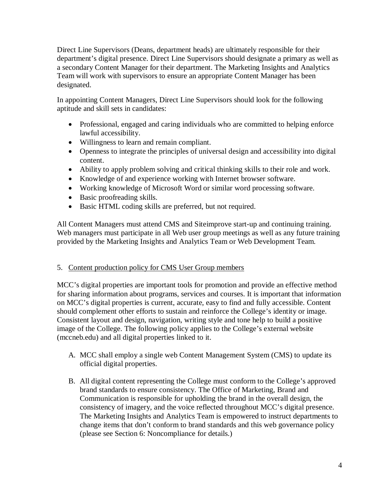Direct Line Supervisors (Deans, department heads) are ultimately responsible for their department's digital presence. Direct Line Supervisors should designate a primary as well as a secondary Content Manager for their department. The Marketing Insights and Analytics Team will work with supervisors to ensure an appropriate Content Manager has been designated.

In appointing Content Managers, Direct Line Supervisors should look for the following aptitude and skill sets in candidates:

- Professional, engaged and caring individuals who are committed to helping enforce lawful accessibility.
- Willingness to learn and remain compliant.
- Openness to integrate the principles of universal design and accessibility into digital content.
- Ability to apply problem solving and critical thinking skills to their role and work.
- Knowledge of and experience working with Internet browser software.
- Working knowledge of Microsoft Word or similar word processing software.
- Basic proofreading skills.
- Basic HTML coding skills are preferred, but not required.

All Content Managers must attend CMS and Siteimprove start-up and continuing training. Web managers must participate in all Web user group meetings as well as any future training provided by the Marketing Insights and Analytics Team or Web Development Team.

## 5. Content production policy for CMS User Group members

MCC's digital properties are important tools for promotion and provide an effective method for sharing information about programs, services and courses. It is important that information on MCC's digital properties is current, accurate, easy to find and fully accessible. Content should complement other efforts to sustain and reinforce the College's identity or image. Consistent layout and design, navigation, writing style and tone help to build a positive image of the College. The following policy applies to the College's external website (mccneb.edu) and all digital properties linked to it.

- A. MCC shall employ a single web Content Management System (CMS) to update its official digital properties.
- B. All digital content representing the College must conform to the College's approved brand standards to ensure consistency. The Office of Marketing, Brand and Communication is responsible for upholding the brand in the overall design, the consistency of imagery, and the voice reflected throughout MCC's digital presence. The Marketing Insights and Analytics Team is empowered to instruct departments to change items that don't conform to brand standards and this web governance policy (please see Section 6: Noncompliance for details.)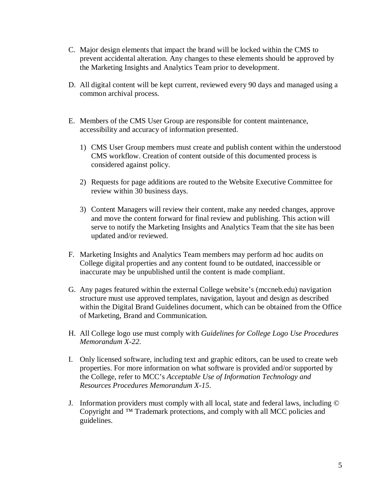- C. Major design elements that impact the brand will be locked within the CMS to prevent accidental alteration. Any changes to these elements should be approved by the Marketing Insights and Analytics Team prior to development.
- D. All digital content will be kept current, reviewed every 90 days and managed using a common archival process.
- E. Members of the CMS User Group are responsible for content maintenance, accessibility and accuracy of information presented.
	- 1) CMS User Group members must create and publish content within the understood CMS workflow. Creation of content outside of this documented process is considered against policy.
	- 2) Requests for page additions are routed to the Website Executive Committee for review within 30 business days.
	- 3) Content Managers will review their content, make any needed changes, approve and move the content forward for final review and publishing. This action will serve to notify the Marketing Insights and Analytics Team that the site has been updated and/or reviewed.
- F. Marketing Insights and Analytics Team members may perform ad hoc audits on College digital properties and any content found to be outdated, inaccessible or inaccurate may be unpublished until the content is made compliant.
- G. Any pages featured within the external College website's (mccneb.edu) navigation structure must use approved templates, navigation, layout and design as described within the Digital Brand Guidelines document, which can be obtained from the Office of Marketing, Brand and Communication.
- H. All College logo use must comply with *Guidelines for College Logo Use Procedures Memorandum X-22*.
- I. Only licensed software, including text and graphic editors, can be used to create web properties. For more information on what software is provided and/or supported by the College, refer to MCC's *Acceptable Use of Information Technology and Resources Procedures Memorandum X-15*.
- J. Information providers must comply with all local, state and federal laws, including © Copyright and ™ Trademark protections, and comply with all MCC policies and guidelines.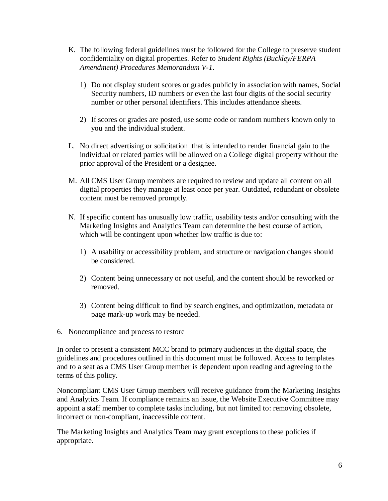- K. The following federal guidelines must be followed for the College to preserve student confidentiality on digital properties. Refer to *Student Rights (Buckley/FERPA Amendment) Procedures Memorandum V-1*.
	- 1) Do not display student scores or grades publicly in association with names, Social Security numbers, ID numbers or even the last four digits of the social security number or other personal identifiers. This includes attendance sheets.
	- 2) If scores or grades are posted, use some code or random numbers known only to you and the individual student.
- L. No direct advertising or solicitation that is intended to render financial gain to the individual or related parties will be allowed on a College digital property without the prior approval of the President or a designee.
- M. All CMS User Group members are required to review and update all content on all digital properties they manage at least once per year. Outdated, redundant or obsolete content must be removed promptly.
- N. If specific content has unusually low traffic, usability tests and/or consulting with the Marketing Insights and Analytics Team can determine the best course of action, which will be contingent upon whether low traffic is due to:
	- 1) A usability or accessibility problem, and structure or navigation changes should be considered.
	- 2) Content being unnecessary or not useful, and the content should be reworked or removed.
	- 3) Content being difficult to find by search engines, and optimization, metadata or page mark-up work may be needed.
- 6. Noncompliance and process to restore

In order to present a consistent MCC brand to primary audiences in the digital space, the guidelines and procedures outlined in this document must be followed. Access to templates and to a seat as a CMS User Group member is dependent upon reading and agreeing to the terms of this policy.

Noncompliant CMS User Group members will receive guidance from the Marketing Insights and Analytics Team. If compliance remains an issue, the Website Executive Committee may appoint a staff member to complete tasks including, but not limited to: removing obsolete, incorrect or non-compliant, inaccessible content.

The Marketing Insights and Analytics Team may grant exceptions to these policies if appropriate.